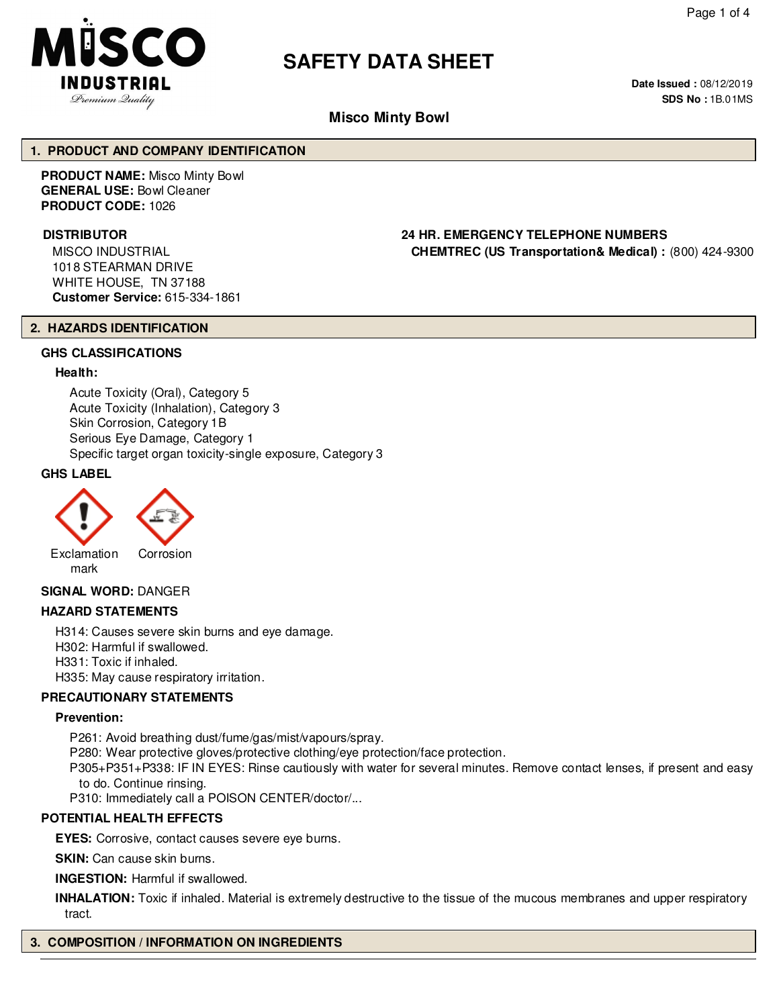

# **SAFETY DATA SHEET**

**Date Issued :** 08/12/2019 **SDS No :** 1B.01MS

# **Misco Minty Bowl**

#### **1. PRODUCT AND COMPANY IDENTIFICATION**

**PRODUCT NAME:** Misco Minty Bowl **GENERAL USE:** Bowl Cleaner **PRODUCT CODE:** 1026

MISCO INDUSTRIAL 1018 STEARMAN DRIVE WHITE HOUSE, TN 37188 **Customer Service:** 615-334-1861

#### **DISTRIBUTOR 24 HR. EMERGENCY TELEPHONE NUMBERS CHEMTREC (US Transportation& Medical) :** (800) 424-9300

#### **2. HAZARDS IDENTIFICATION**

#### **GHS CLASSIFICATIONS**

#### **Health:**

Acute Toxicity (Oral), Category 5 Acute Toxicity (Inhalation), Category 3 Skin Corrosion, Category 1B Serious Eye Damage, Category 1 Specific target organ toxicity-single exposure, Category 3

# **GHS LABEL**



# **SIGNAL WORD:** DANGER

#### **HAZARD STATEMENTS**

H314: Causes severe skin burns and eye damage. H302: Harmful if swallowed. H331: Toxic if inhaled. H335: May cause respiratory irritation.

# **PRECAUTIONARY STATEMENTS**

#### **Prevention:**

P261: Avoid breathing dust/fume/gas/mist/vapours/spray. P280: Wear protective gloves/protective clothing/eye protection/face protection.

P305+P351+P338: IF IN EYES: Rinse cautiously with water for several minutes. Remove contact lenses, if present and easy to do. Continue rinsing.

P310: Immediately call a POISON CENTER/doctor/...

#### **POTENTIAL HEALTH EFFECTS**

**EYES:** Corrosive, contact causes severe eye burns.

**SKIN:** Can cause skin burns.

**INGESTION:** Harmful if swallowed.

**INHALATION:** Toxic if inhaled. Material is extremely destructive to the tissue of the mucous membranes and upper respiratory tract.

# **3. COMPOSITION / INFORMATION ON INGREDIENTS**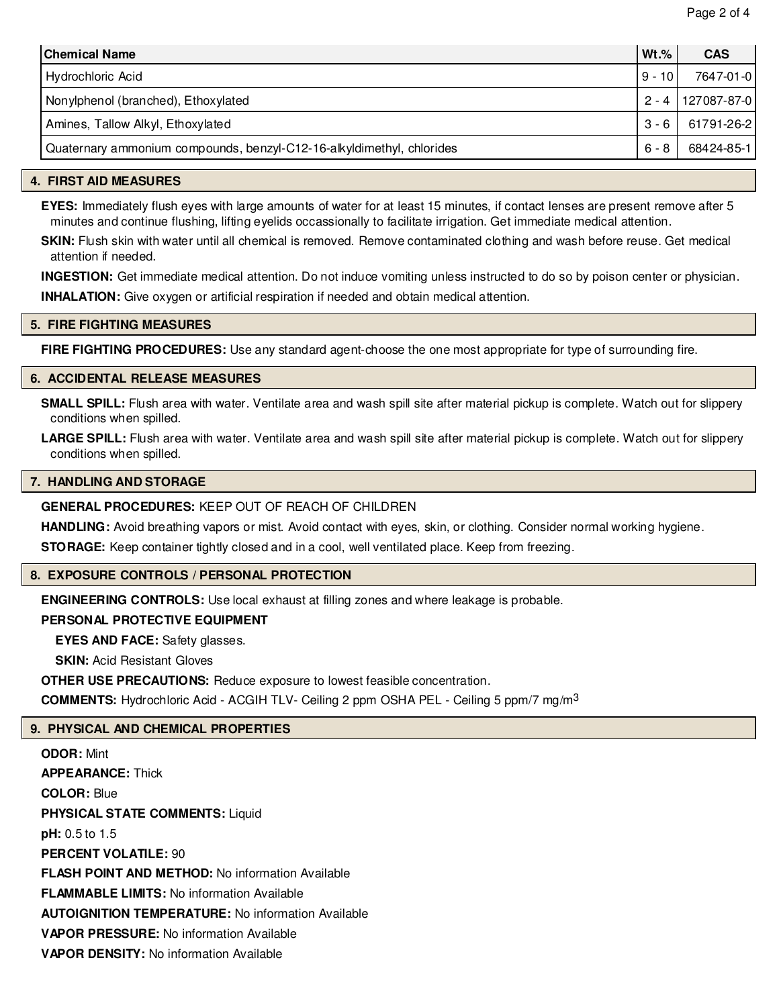| <b>Chemical Name</b>                                                  | $Wt.$ %  | <b>CAS</b>          |
|-----------------------------------------------------------------------|----------|---------------------|
| Hydrochloric Acid                                                     | $9 - 10$ | 7647-01-0           |
| Nonylphenol (branched), Ethoxylated                                   |          | 2 - 4   127087-87-0 |
| Amines, Tallow Alkyl, Ethoxylated                                     |          | $3 - 6$ 61791-26-2  |
| Quaternary ammonium compounds, benzyl-C12-16-alkyldimethyl, chlorides | 6 - 8    | 68424-85-1          |

# **4. FIRST AID MEASURES**

**EYES:** Immediately flush eyes with large amounts of water for at least 15 minutes, if contact lenses are present remove after 5 minutes and continue flushing, lifting eyelids occassionally to facilitate irrigation. Get immediate medical attention.

**SKIN:** Flush skin with water until all chemical is removed. Remove contaminated clothing and wash before reuse. Get medical attention if needed.

**INGESTION:** Get immediate medical attention. Do not induce vomiting unless instructed to do so by poison center or physician. **INHALATION:** Give oxygen or artificial respiration if needed and obtain medical attention.

#### **5. FIRE FIGHTING MEASURES**

**FIRE FIGHTING PROCEDURES:** Use any standard agent-choose the one most appropriate for type of surrounding fire.

#### **6. ACCIDENTAL RELEASE MEASURES**

**SMALL SPILL:** Flush area with water. Ventilate area and wash spill site after material pickup is complete. Watch out for slippery conditions when spilled.

LARGE SPILL: Flush area with water. Ventilate area and wash spill site after material pickup is complete. Watch out for slippery conditions when spilled.

#### **7. HANDLING AND STORAGE**

**GENERAL PROCEDURES:** KEEP OUT OF REACH OF CHILDREN

**HANDLING:** Avoid breathing vapors or mist. Avoid contact with eyes, skin, or clothing. Consider normal working hygiene.

**STORAGE:** Keep container tightly closed and in a cool, well ventilated place. Keep from freezing.

#### **8. EXPOSURE CONTROLS / PERSONAL PROTECTION**

**ENGINEERING CONTROLS:** Use local exhaust at filling zones and where leakage is probable.

#### **PERSONAL PROTECTIVE EQUIPMENT**

**EYES AND FACE:** Safety glasses.

**SKIN: Acid Resistant Gloves** 

**OTHER USE PRECAUTIONS:** Reduce exposure to lowest feasible concentration.

**COMMENTS:** Hydrochloric Acid - ACGIH TLV- Ceiling 2 ppm OSHA PEL - Ceiling 5 ppm/7 mg/m3

# **9. PHYSICAL AND CHEMICAL PROPERTIES**

**ODOR:** Mint **APPEARANCE:** Thick **COLOR:** Blue **PHYSICAL STATE COMMENTS:** Liquid **pH:** 0.5 to 1.5 **PERCENT VOLATILE:** 90 **FLASH POINT AND METHOD:** No information Available **FLAMMABLE LIMITS:** No information Available **AUTOIGNITION TEMPERATURE:** No information Available **VAPOR PRESSURE:** No information Available **VAPOR DENSITY:** No information Available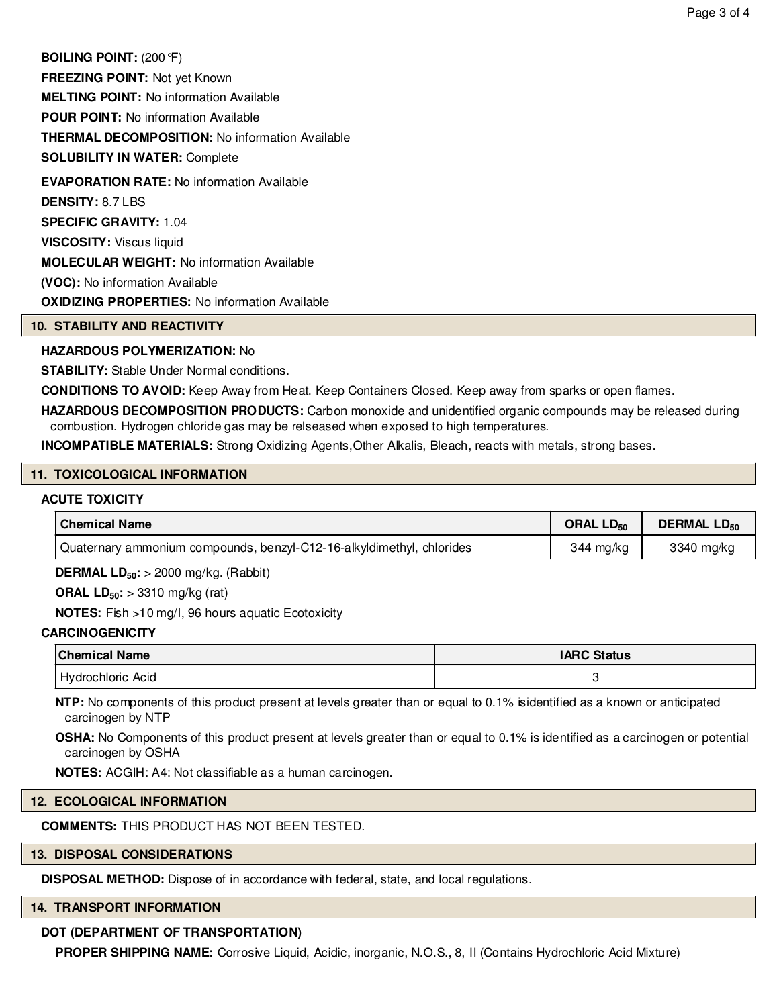**BOILING POINT:** (200°F) **FREEZING POINT:** Not yet Known **MELTING POINT:** No information Available **POUR POINT:** No information Available **THERMAL DECOMPOSITION:** No information Available **SOLUBILITY IN WATER:** Complete **EVAPORATION RATE:** No information Available **DENSITY:** 8.7 LBS **SPECIFIC GRAVITY:** 1.04

**VISCOSITY:** Viscus liquid **MOLECULAR WEIGHT:** No information Available **(VOC):** No information Available

**OXIDIZING PROPERTIES:** No information Available

#### **10. STABILITY AND REACTIVITY**

#### **HAZARDOUS POLYMERIZATION:** No

**STABILITY:** Stable Under Normal conditions.

**CONDITIONS TO AVOID:** Keep Away from Heat. Keep Containers Closed. Keep away from sparks or open flames.

**HAZARDOUS DECOMPOSITION PRODUCTS:** Carbon monoxide and unidentified organic compounds may be released during combustion. Hydrogen chloride gas may be relseased when exposed to high temperatures.

**INCOMPATIBLE MATERIALS:** Strong Oxidizing Agents,Other Alkalis, Bleach, reacts with metals, strong bases.

#### **11. TOXICOLOGICAL INFORMATION**

#### **ACUTE TOXICITY**

| <b>Chemical Name</b>                                                               | ORAL $LD_{50}$ | <b>DERMAL LD<sub>50</sub></b> |  |
|------------------------------------------------------------------------------------|----------------|-------------------------------|--|
| <sup>1</sup> Quaternary ammonium compounds, benzyl-C12-16-alkyldimethyl, chlorides | 344 mg/kg      | 3340 mg/kg                    |  |

**DERMAL LD50:** > 2000 mg/kg. (Rabbit)

**ORAL LD50:** > 3310 mg/kg (rat)

**NOTES:** Fish >10 mg/I, 96 hours aquatic Ecotoxicity

#### **CARCINOGENICITY**

| <b>Chemical Name</b> | <b>IARC Status</b> |
|----------------------|--------------------|
| Hydrochloric Acid    |                    |

**NTP:** No components of this product present at levels greater than or equal to 0.1% isidentified as a known or anticipated carcinogen by NTP

**OSHA:** No Components of this product present at levels greater than or equal to 0.1% is identified as a carcinogen or potential carcinogen by OSHA

**NOTES:** ACGIH: A4: Not classifiable as a human carcinogen.

#### **12. ECOLOGICAL INFORMATION**

**COMMENTS:** THIS PRODUCT HAS NOT BEEN TESTED.

#### **13. DISPOSAL CONSIDERATIONS**

**DISPOSAL METHOD:** Dispose of in accordance with federal, state, and local regulations.

#### **14. TRANSPORT INFORMATION**

#### **DOT (DEPARTMENT OF TRANSPORTATION)**

**PROPER SHIPPING NAME:** Corrosive Liquid, Acidic, inorganic, N.O.S., 8, II (Contains Hydrochloric Acid Mixture)